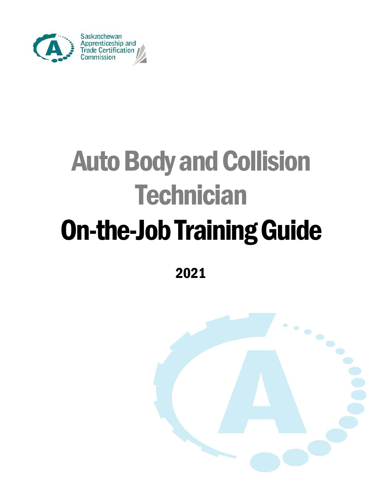

# Auto Body and Collision **Technician** On-the-Job Training Guide

2021

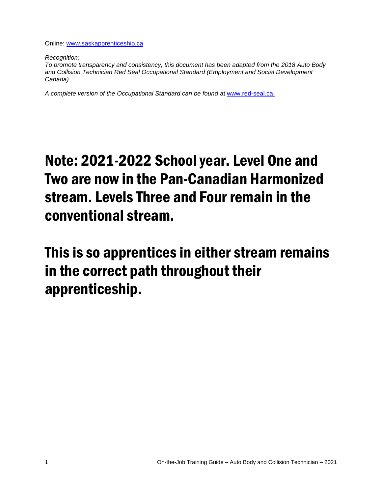Online: [www.saskapprenticeship.ca](http://www.saskapprenticeship.ca/)

*Recognition:* 

*To promote transparency and consistency, this document has been adapted from the 2018 Auto Body and Collision Technician Red Seal Occupational Standard (Employment and Social Development Canada).*

*A complete version of the Occupational Standard can be found* at [www.red-seal.ca.](http://www.red-seal.ca/)

## Note: 2021-2022 School year. Level One and Two are now in the Pan-Canadian Harmonized stream. Levels Three and Four remain in the conventional stream.

This is so apprentices in either stream remains in the correct path throughout their apprenticeship.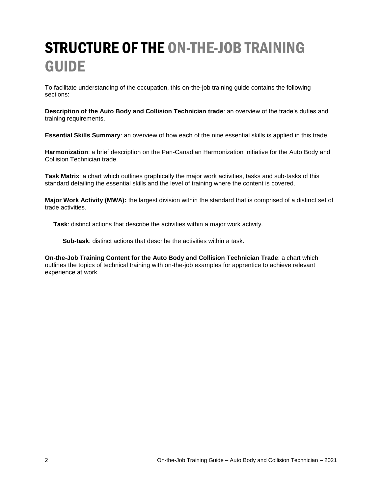## STRUCTURE OF THE ON-THE-JOB TRAINING GUIDE

To facilitate understanding of the occupation, this on-the-job training guide contains the following sections:

**Description of the Auto Body and Collision Technician trade**: an overview of the trade's duties and training requirements.

**Essential Skills Summary**: an overview of how each of the nine essential skills is applied in this trade.

**Harmonization**: a brief description on the Pan-Canadian Harmonization Initiative for the Auto Body and Collision Technician trade.

**Task Matrix**: a chart which outlines graphically the major work activities, tasks and sub-tasks of this standard detailing the essential skills and the level of training where the content is covered.

**Major Work Activity (MWA):** the largest division within the standard that is comprised of a distinct set of trade activities.

**Task**: distinct actions that describe the activities within a major work activity.

**Sub-task**: distinct actions that describe the activities within a task.

**On-the-Job Training Content for the Auto Body and Collision Technician Trade**: a chart which outlines the topics of technical training with on-the-job examples for apprentice to achieve relevant experience at work.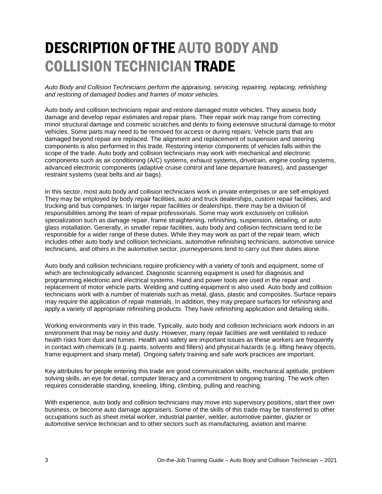## DESCRIPTION OF THE AUTO BODY AND COLLISION TECHNICIAN TRADE

*Auto Body and Collision Technicians perform the appraising, servicing, repairing, replacing, refinishing and restoring of damaged bodies and frames of motor vehicles.*

Auto body and collision technicians repair and restore damaged motor vehicles. They assess body damage and develop repair estimates and repair plans. Their repair work may range from correcting minor structural damage and cosmetic scratches and dents to fixing extensive structural damage to motor vehicles. Some parts may need to be removed for access or during repairs. Vehicle parts that are damaged beyond repair are replaced. The alignment and replacement of suspension and steering components is also performed in this trade. Restoring interior components of vehicles falls within the scope of the trade. Auto body and collision technicians may work with mechanical and electronic components such as air conditioning (A/C) systems, exhaust systems, drivetrain, engine cooling systems, advanced electronic components (adaptive cruise control and lane departure features), and passenger restraint systems (seat belts and air bags).

In this sector, most auto body and collision technicians work in private enterprises or are self-employed. They may be employed by body repair facilities, auto and truck dealerships, custom repair facilities, and trucking and bus companies. In larger repair facilities or dealerships, there may be a division of responsibilities among the team of repair professionals. Some may work exclusively on collision specialization such as damage repair, frame straightening, refinishing, suspension, detailing, or auto glass installation. Generally, in smaller repair facilities, auto body and collision technicians tend to be responsible for a wider range of these duties. While they may work as part of the repair team, which includes other auto body and collision technicians, automotive refinishing technicians, automotive service technicians, and others in the automotive sector, journeypersons tend to carry out their duties alone.

Auto body and collision technicians require proficiency with a variety of tools and equipment, some of which are technologically advanced. Diagnostic scanning equipment is used for diagnosis and programming electronic and electrical systems. Hand and power tools are used in the repair and replacement of motor vehicle parts. Welding and cutting equipment is also used. Auto body and collision technicians work with a number of materials such as metal, glass, plastic and composites. Surface repairs may require the application of repair materials. In addition, they may prepare surfaces for refinishing and apply a variety of appropriate refinishing products. They have refinishing application and detailing skills.

Working environments vary in this trade. Typically, auto body and collision technicians work indoors in an environment that may be noisy and dusty. However, many repair facilities are well ventilated to reduce health risks from dust and fumes. Health and safety are important issues as these workers are frequently in contact with chemicals (e.g. paints, solvents and fillers) and physical hazards (e.g. lifting heavy objects, frame equipment and sharp metal). Ongoing safety training and safe work practices are important.

Key attributes for people entering this trade are good communication skills, mechanical aptitude, problem solving skills, an eye for detail, computer literacy and a commitment to ongoing training. The work often requires considerable standing, kneeling, lifting, climbing, pulling and reaching.

With experience, auto body and collision technicians may move into supervisory positions, start their own business, or become auto damage appraisers. Some of the skills of this trade may be transferred to other occupations such as sheet metal worker, industrial painter, welder, automotive painter, glazier or automotive service technician and to other sectors such as manufacturing, aviation and marine.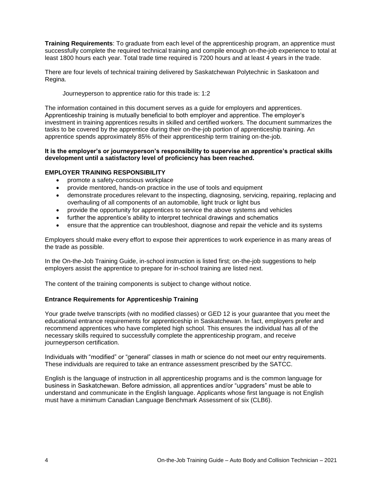**Training Requirements**: To graduate from each level of the apprenticeship program, an apprentice must successfully complete the required technical training and compile enough on-the-job experience to total at least 1800 hours each year. Total trade time required is 7200 hours and at least 4 years in the trade.

There are four levels of technical training delivered by Saskatchewan Polytechnic in Saskatoon and Regina.

Journeyperson to apprentice ratio for this trade is: 1:2

The information contained in this document serves as a guide for employers and apprentices. Apprenticeship training is mutually beneficial to both employer and apprentice. The employer's investment in training apprentices results in skilled and certified workers. The document summarizes the tasks to be covered by the apprentice during their on-the-job portion of apprenticeship training. An apprentice spends approximately 85% of their apprenticeship term training on-the-job.

#### **It is the employer's or journeyperson's responsibility to supervise an apprentice's practical skills development until a satisfactory level of proficiency has been reached.**

#### **EMPLOYER TRAINING RESPONSIBILITY**

- promote a safety-conscious workplace
- provide mentored, hands-on practice in the use of tools and equipment
- demonstrate procedures relevant to the inspecting, diagnosing, servicing, repairing, replacing and overhauling of all components of an automobile, light truck or light bus
- provide the opportunity for apprentices to service the above systems and vehicles
- further the apprentice's ability to interpret technical drawings and schematics
- ensure that the apprentice can troubleshoot, diagnose and repair the vehicle and its systems

Employers should make every effort to expose their apprentices to work experience in as many areas of the trade as possible.

In the On-the-Job Training Guide, in-school instruction is listed first; on-the-job suggestions to help employers assist the apprentice to prepare for in-school training are listed next.

The content of the training components is subject to change without notice.

#### **Entrance Requirements for Apprenticeship Training**

Your grade twelve transcripts (with no modified classes) or GED 12 is your guarantee that you meet the educational entrance requirements for apprenticeship in Saskatchewan. In fact, employers prefer and recommend apprentices who have completed high school. This ensures the individual has all of the necessary skills required to successfully complete the apprenticeship program, and receive journeyperson certification.

Individuals with "modified" or "general" classes in math or science do not meet our entry requirements. These individuals are required to take an entrance assessment prescribed by the SATCC.

English is the language of instruction in all apprenticeship programs and is the common language for business in Saskatchewan. Before admission, all apprentices and/or "upgraders" must be able to understand and communicate in the English language. Applicants whose first language is not English must have a minimum Canadian Language Benchmark Assessment of six (CLB6).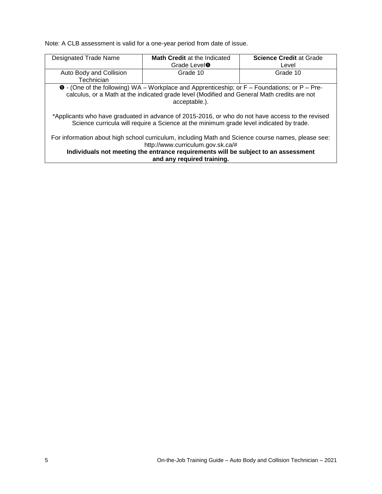Note: A CLB assessment is valid for a one-year period from date of issue.

| Designated Trade Name                                                                                                                                                                       | Math Credit at the Indicated                                                                          | <b>Science Credit at Grade</b> |  |
|---------------------------------------------------------------------------------------------------------------------------------------------------------------------------------------------|-------------------------------------------------------------------------------------------------------|--------------------------------|--|
|                                                                                                                                                                                             | Grade Level <sup>O</sup>                                                                              | Level                          |  |
| Auto Body and Collision                                                                                                                                                                     | Grade 10                                                                                              | Grade 10                       |  |
| Technician                                                                                                                                                                                  |                                                                                                       |                                |  |
|                                                                                                                                                                                             | $\bullet$ - (One of the following) WA – Workplace and Apprenticeship; or F – Foundations; or P – Pre- |                                |  |
|                                                                                                                                                                                             | calculus, or a Math at the indicated grade level (Modified and General Math credits are not           |                                |  |
|                                                                                                                                                                                             | acceptable.).                                                                                         |                                |  |
|                                                                                                                                                                                             |                                                                                                       |                                |  |
| *Applicants who have graduated in advance of 2015-2016, or who do not have access to the revised<br>Science curricula will require a Science at the minimum grade level indicated by trade. |                                                                                                       |                                |  |
| For information about high school curriculum, including Math and Science course names, please see:<br>http://www.curriculum.gov.sk.ca/#                                                     |                                                                                                       |                                |  |
| Individuals not meeting the entrance requirements will be subject to an assessment                                                                                                          |                                                                                                       |                                |  |
|                                                                                                                                                                                             | and any required training.                                                                            |                                |  |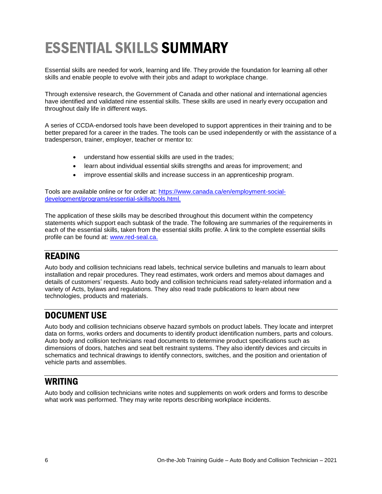## ESSENTIAL SKILLS SUMMARY

Essential skills are needed for work, learning and life. They provide the foundation for learning all other skills and enable people to evolve with their jobs and adapt to workplace change.

Through extensive research, the Government of Canada and other national and international agencies have identified and validated nine essential skills. These skills are used in nearly every occupation and throughout daily life in different ways.

A series of CCDA-endorsed tools have been developed to support apprentices in their training and to be better prepared for a career in the trades. The tools can be used independently or with the assistance of a tradesperson, trainer, employer, teacher or mentor to:

- understand how essential skills are used in the trades;
- learn about individual essential skills strengths and areas for improvement; and
- improve essential skills and increase success in an apprenticeship program.

Tools are available online or for order at: [https://www.canada.ca/en/employment-social](https://www.canada.ca/en/employment-social-development/programs/essential-skills/tools.html)[development/programs/essential-skills/tools.html.](https://www.canada.ca/en/employment-social-development/programs/essential-skills/tools.html)

The application of these skills may be described throughout this document within the competency statements which support each subtask of the trade. The following are summaries of the requirements in each of the essential skills, taken from the essential skills profile. A link to the complete essential skills profile can be found at: [www.red-seal.ca.](http://www.red-seal.ca/)

### READING

Auto body and collision technicians read labels, technical service bulletins and manuals to learn about installation and repair procedures. They read estimates, work orders and memos about damages and details of customers' requests. Auto body and collision technicians read safety-related information and a variety of Acts, bylaws and regulations. They also read trade publications to learn about new technologies, products and materials.

### DOCUMENT USE

Auto body and collision technicians observe hazard symbols on product labels. They locate and interpret data on forms, works orders and documents to identify product identification numbers, parts and colours. Auto body and collision technicians read documents to determine product specifications such as dimensions of doors, hatches and seat belt restraint systems. They also identify devices and circuits in schematics and technical drawings to identify connectors, switches, and the position and orientation of vehicle parts and assemblies.

### WRITING

Auto body and collision technicians write notes and supplements on work orders and forms to describe what work was performed. They may write reports describing workplace incidents.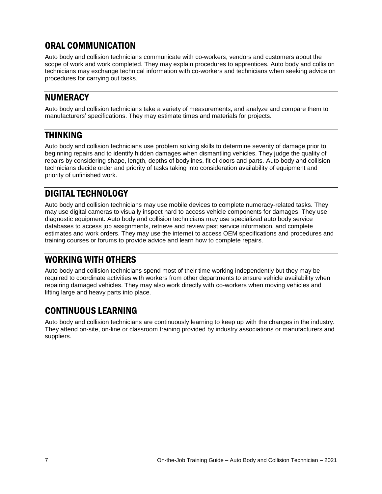### ORAL COMMUNICATION

Auto body and collision technicians communicate with co-workers, vendors and customers about the scope of work and work completed. They may explain procedures to apprentices. Auto body and collision technicians may exchange technical information with co-workers and technicians when seeking advice on procedures for carrying out tasks.

### NUMERACY

Auto body and collision technicians take a variety of measurements, and analyze and compare them to manufacturers' specifications. They may estimate times and materials for projects.

### THINKING

Auto body and collision technicians use problem solving skills to determine severity of damage prior to beginning repairs and to identify hidden damages when dismantling vehicles. They judge the quality of repairs by considering shape, length, depths of bodylines, fit of doors and parts. Auto body and collision technicians decide order and priority of tasks taking into consideration availability of equipment and priority of unfinished work.

### DIGITAL TECHNOLOGY

Auto body and collision technicians may use mobile devices to complete numeracy-related tasks. They may use digital cameras to visually inspect hard to access vehicle components for damages. They use diagnostic equipment. Auto body and collision technicians may use specialized auto body service databases to access job assignments, retrieve and review past service information, and complete estimates and work orders. They may use the internet to access OEM specifications and procedures and training courses or forums to provide advice and learn how to complete repairs.

## WORKING WITH OTHERS

Auto body and collision technicians spend most of their time working independently but they may be required to coordinate activities with workers from other departments to ensure vehicle availability when repairing damaged vehicles. They may also work directly with co-workers when moving vehicles and lifting large and heavy parts into place.

### CONTINUOUS LEARNING

Auto body and collision technicians are continuously learning to keep up with the changes in the industry. They attend on-site, on-line or classroom training provided by industry associations or manufacturers and suppliers.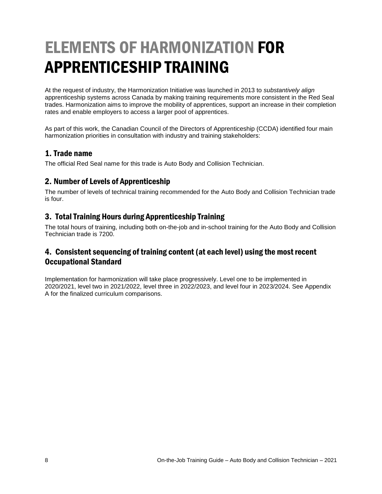## ELEMENTS OF HARMONIZATION FOR APPRENTICESHIP TRAINING

At the request of industry, the Harmonization Initiative was launched in 2013 to *substantively align* apprenticeship systems across Canada by making training requirements more consistent in the Red Seal trades. Harmonization aims to improve the mobility of apprentices, support an increase in their completion rates and enable employers to access a larger pool of apprentices.

As part of this work, the Canadian Council of the Directors of Apprenticeship (CCDA) identified four main harmonization priorities in consultation with industry and training stakeholders:

#### 1. Trade name

The official Red Seal name for this trade is Auto Body and Collision Technician.

#### 2. Number of Levels of Apprenticeship

The number of levels of technical training recommended for the Auto Body and Collision Technician trade is four.

#### 3. Total Training Hours during Apprenticeship Training

The total hours of training, including both on-the-job and in-school training for the Auto Body and Collision Technician trade is 7200.

#### 4. Consistent sequencing of training content (at each level) using the most recent Occupational Standard

Implementation for harmonization will take place progressively. Level one to be implemented in 2020/2021, level two in 2021/2022, level three in 2022/2023, and level four in 2023/2024. See Appendix A for the finalized curriculum comparisons.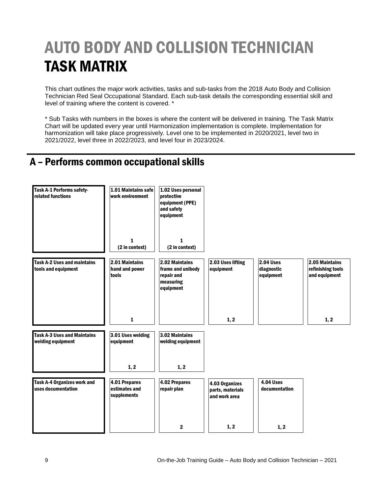## AUTO BODY AND COLLISION TECHNICIAN TASK MATRIX

This chart outlines the major work activities, tasks and sub-tasks from the 2018 Auto Body and Collision Technician Red Seal Occupational Standard. Each sub-task details the corresponding essential skill and level of training where the content is covered. \*

\* Sub Tasks with numbers in the boxes is where the content will be delivered in training. The Task Matrix Chart will be updated every year until Harmonization implementation is complete. Implementation for harmonization will take place progressively. Level one to be implemented in 2020/2021, level two in 2021/2022, level three in 2022/2023, and level four in 2023/2024.

## A – Performs common occupational skills

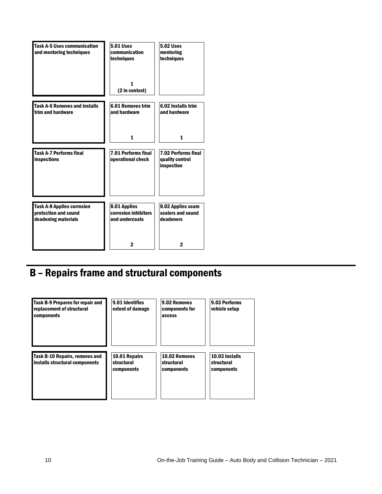| <b>Task A-5 Uses communication</b><br>and mentoring techniques                   | <b>5.01 Uses</b><br>communication<br>techniques        | <b>5.02 Uses</b><br>mentoring<br>techniques                 |
|----------------------------------------------------------------------------------|--------------------------------------------------------|-------------------------------------------------------------|
|                                                                                  | 1<br>(2 in context)                                    |                                                             |
| <b>Task A-6 Removes and installs</b><br>trim and hardware                        | <b>6.01 Removes trim</b><br>and hardware               | 6.02 Installs trim<br>and hardware                          |
|                                                                                  | $\mathbf{1}$                                           | 1                                                           |
| <b>Task A-7 Performs final</b><br>inspections                                    | <b>7.01 Performs final</b><br>operational check        | <b>7.02 Performs final</b><br>quality control<br>inspection |
| <b>Task A-8 Applies corrosion</b><br>protection and sound<br>deadening materials | 8.01 Applies<br>corrosion inhibitors<br>and undercoats | 8.02 Applies seam<br>sealers and sound<br>deadeners         |
|                                                                                  | 2                                                      | $\mathbf 2$                                                 |

## B – Repairs frame and structural components

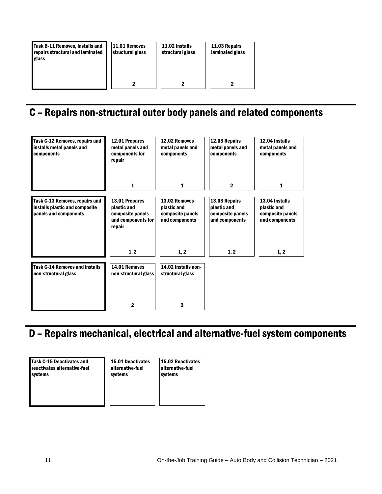| Task B-11 Removes, installs and<br>repairs structural and laminated<br>glass | 11.01 Removes<br>structural glass | 11.02 Installs<br>structural glass | 11.03 Repairs<br>laminated glass |
|------------------------------------------------------------------------------|-----------------------------------|------------------------------------|----------------------------------|
|                                                                              |                                   |                                    |                                  |

## C – Repairs non-structural outer body panels and related components

| Task C-12 Removes, repairs and<br>installs metal panels and<br>components                 | 12.01 Prepares<br>metal panels and<br>components for<br>repair                    | 12.02 Removes<br>metal panels and<br>components                    | 12.03 Repairs<br>metal panels and<br>components                    | 12.04 Installs<br>metal panels and<br>components                    |
|-------------------------------------------------------------------------------------------|-----------------------------------------------------------------------------------|--------------------------------------------------------------------|--------------------------------------------------------------------|---------------------------------------------------------------------|
|                                                                                           | 1                                                                                 | 1                                                                  | $\mathbf{2}$                                                       | 1                                                                   |
| Task C-13 Removes, repairs and<br>installs plastic and composite<br>panels and components | 13.01 Prepares<br>plastic and<br>composite panels<br>and components for<br>repair | 13.02 Removes<br>plastic and<br>composite panels<br>and components | 13.03 Repairs<br>plastic and<br>composite panels<br>and components | 13.04 Installs<br>plastic and<br>composite panels<br>and components |
|                                                                                           | 1, 2                                                                              | 1, 2                                                               | 1, 2                                                               | 1, 2                                                                |
| <b>Task C-14 Removes and installs</b><br>non-structural glass                             | 14.01 Removes<br>non-structural glass                                             | 14.02 Installs non-<br>structural glass                            |                                                                    |                                                                     |
|                                                                                           | 2                                                                                 | 2                                                                  |                                                                    |                                                                     |

## D – Repairs mechanical, electrical and alternative-fuel system components

Task C-15 Deactivates and reactivates alternative-fuel systems

15.01 Deactivates alternative-fuel systems

15.02 Reactivates alternative-fuel systems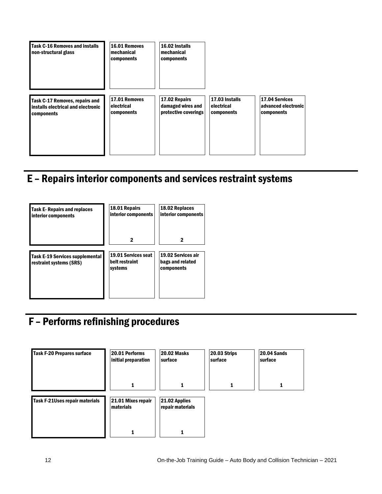

## E – Repairs interior components and services restraint systems



## F – Performs refinishing procedures

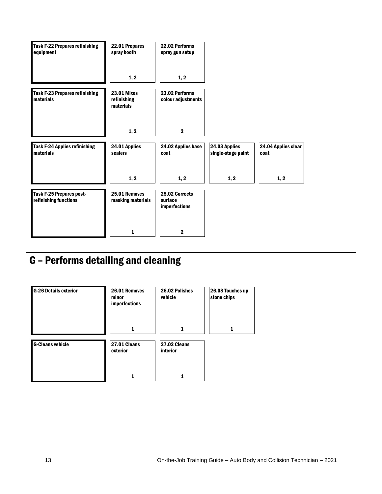| <b>Task F-22 Prepares refinishing</b><br>equipment | 22.01 Prepares<br>spray booth                  | 22.02 Performs<br>spray gun setup                 |                                     |                             |
|----------------------------------------------------|------------------------------------------------|---------------------------------------------------|-------------------------------------|-----------------------------|
|                                                    | 1, 2                                           | 1, 2                                              |                                     |                             |
| <b>Task F-23 Prepares refinishing</b><br>materials | <b>23.01 Mixes</b><br>refinishing<br>materials | 23.02 Performs<br>colour adjustments              |                                     |                             |
|                                                    | 1, 2                                           | $\mathbf{2}$                                      |                                     |                             |
| <b>Task F-24 Applies refinishing</b><br>materials  | 24.01 Applies<br>sealers                       | 24.02 Applies base<br>coat                        | 24.03 Applies<br>single-stage paint | 24.04 Applies clear<br>coat |
|                                                    | 1, 2                                           | 1, 2                                              | 1, 2                                | 1, 2                        |
| Task F-25 Prepares post-<br>refinishing functions  | 25.01 Removes<br>masking materials             | 25.02 Corrects<br>surface<br><b>imperfections</b> |                                     |                             |
|                                                    | 1                                              | $\mathbf{2}$                                      |                                     |                             |

## G – Performs detailing and cleaning

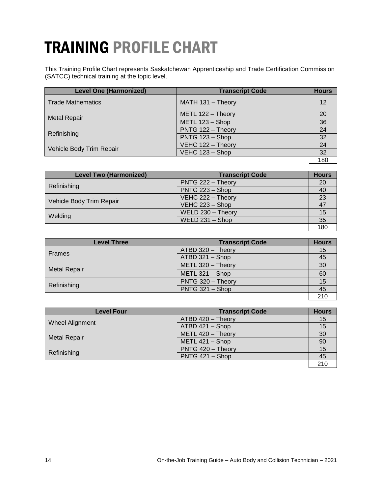## TRAINING PROFILE CHART

This Training Profile Chart represents Saskatchewan Apprenticeship and Trade Certification Commission (SATCC) technical training at the topic level.

| <b>Level One (Harmonized)</b> | <b>Transcript Code</b> | <b>Hours</b> |
|-------------------------------|------------------------|--------------|
| <b>Trade Mathematics</b>      | MATH 131 - Theory      | 12           |
|                               | METL 122 - Theory      | 20           |
| <b>Metal Repair</b>           | METL 123 - Shop        | 36           |
|                               | PNTG 122 - Theory      | 24           |
| Refinishing                   | PNTG 123 - Shop        | 32           |
|                               | VEHC 122 - Theory      | 24           |
| Vehicle Body Trim Repair      | VEHC 123 - Shop        | 32           |
|                               |                        | 180          |

| <b>Level Two (Harmonized)</b> | <b>Transcript Code</b> | <b>Hours</b> |
|-------------------------------|------------------------|--------------|
| Refinishing                   | PNTG 222 - Theory      | 20           |
|                               | PNTG 223 - Shop        | 40           |
|                               | VEHC 222 - Theory      | 23           |
| Vehicle Body Trim Repair      | VEHC $223 -$ Shop      |              |
|                               | WELD 230 - Theory      | 15           |
| Welding                       | WELD $231 -$ Shop      | 35           |
|                               |                        | 180          |

| <b>Level Three</b>  | <b>Transcript Code</b> | <b>Hours</b> |
|---------------------|------------------------|--------------|
| <b>Frames</b>       | ATBD 320 - Theory      | 15           |
|                     | ATBD 321 - Shop        | 45           |
|                     | METL 320 - Theory      | 30           |
| <b>Metal Repair</b> | METL $321 -$ Shop      | 60           |
|                     | PNTG 320 - Theory      | 15           |
| Refinishing         | PNTG 321 - Shop        | 45           |
|                     |                        | 210          |

| <b>Level Four</b>      | <b>Transcript Code</b> | <b>Hours</b> |
|------------------------|------------------------|--------------|
|                        | ATBD 420 - Theory      | 15           |
| <b>Wheel Alignment</b> | ATBD 421 - Shop        | 15           |
|                        | METL 420 - Theory      | 30           |
| <b>Metal Repair</b>    | METL 421 - Shop        | 90           |
|                        | PNTG 420 - Theory      | 15           |
| Refinishing            | PNTG 421 - Shop        | 45           |
|                        |                        | 21(          |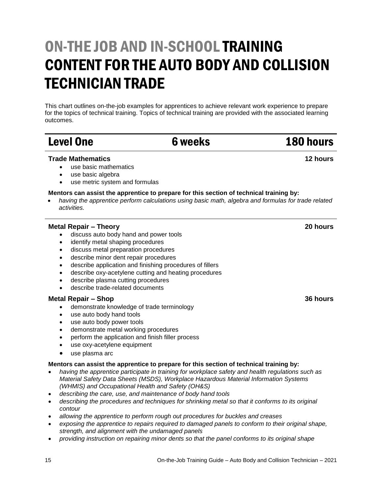## ON-THE JOB AND IN-SCHOOL TRAINING CONTENT FOR THE AUTO BODY AND COLLISION TECHNICIAN TRADE

This chart outlines on-the-job examples for apprentices to achieve relevant work experience to prepare for the topics of technical training. Topics of technical training are provided with the associated learning outcomes.

## Level One 6 weeks 180 hours

#### **Trade Mathematics**

- use basic mathematics
- use basic algebra
- use metric system and formulas

#### **Mentors can assist the apprentice to prepare for this section of technical training by:**

 *having the apprentice perform calculations using basic math, algebra and formulas for trade related activities.*

#### **Metal Repair – Theory**

- discuss auto body hand and power tools
- identify metal shaping procedures
- discuss metal preparation procedures
- describe minor dent repair procedures
- describe application and finishing procedures of fillers
- describe oxy-acetylene cutting and heating procedures
- describe plasma cutting procedures
- describe trade-related documents

#### **Metal Repair – Shop**

- demonstrate knowledge of trade terminology
- use auto body hand tools
- use auto body power tools
- demonstrate metal working procedures
- perform the application and finish filler process
- use oxy-acetylene equipment
- use plasma arc

#### **Mentors can assist the apprentice to prepare for this section of technical training by:**

- *having the apprentice participate in training for workplace safety and health regulations such as Material Safety Data Sheets (MSDS), Workplace Hazardous Material Information Systems (WHMIS) and Occupational Health and Safety (OH&S)*
- *describing the care, use, and maintenance of body hand tools*
- *describing the procedures and techniques for shrinking metal so that it conforms to its original contour*
- *allowing the apprentice to perform rough out procedures for buckles and creases*
- *exposing the apprentice to repairs required to damaged panels to conform to their original shape, strength, and alignment with the undamaged panels*
- *providing instruction on repairing minor dents so that the panel conforms to its original shape*

**12 hours**

**20 hours**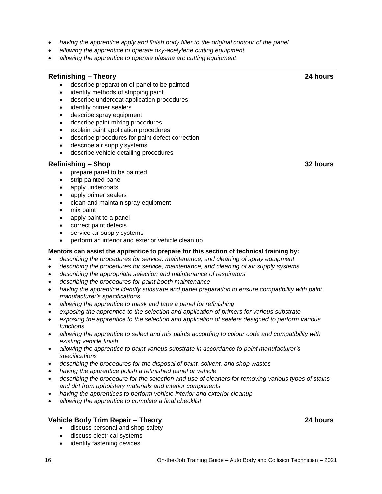- *having the apprentice apply and finish body filler to the original contour of the panel*
- *allowing the apprentice to operate oxy-acetylene cutting equipment*
- *allowing the apprentice to operate plasma arc cutting equipment*

#### **Refinishing – Theory**

- describe preparation of panel to be painted
- identify methods of stripping paint
- describe undercoat application procedures
- identify primer sealers
- describe spray equipment
- describe paint mixing procedures
- explain paint application procedures
- describe procedures for paint defect correction
- describe air supply systems
- describe vehicle detailing procedures

#### **Refinishing – Shop**

- prepare panel to be painted
- strip painted panel
- apply undercoats
- apply primer sealers
- clean and maintain spray equipment
- mix paint
- apply paint to a panel
- correct paint defects
- service air supply systems
- perform an interior and exterior vehicle clean up

#### **Mentors can assist the apprentice to prepare for this section of technical training by:**

- *describing the procedures for service, maintenance, and cleaning of spray equipment*
- *describing the procedures for service, maintenance, and cleaning of air supply systems*
- *describing the appropriate selection and maintenance of respirators*
- *describing the procedures for paint booth maintenance*
- *having the apprentice identify substrate and panel preparation to ensure compatibility with paint manufacturer's specifications*
- *allowing the apprentice to mask and tape a panel for refinishing*
- *exposing the apprentice to the selection and application of primers for various substrate*
- *exposing the apprentice to the selection and application of sealers designed to perform various functions*
- *allowing the apprentice to select and mix paints according to colour code and compatibility with existing vehicle finish*
- *allowing the apprentice to paint various substrate in accordance to paint manufacturer's specifications*
- *describing the procedures for the disposal of paint, solvent, and shop wastes*
- *having the apprentice polish a refinished panel or vehicle*
- *describing the procedure for the selection and use of cleaners for removing various types of stains and dirt from upholstery materials and interior components*
- *having the apprentices to perform vehicle interior and exterior cleanup*
- *allowing the apprentice to complete a final checklist*

#### **Vehicle Body Trim Repair – Theory**

- discuss personal and shop safety
- discuss electrical systems
- identify fastening devices

**32 hours**

**24 hours**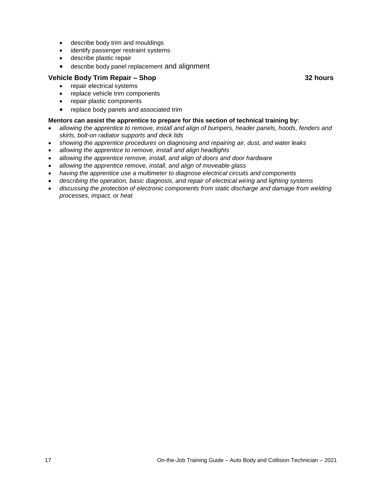- describe body trim and mouldings
- identify passenger restraint systems
- describe plastic repair
- describe body panel replacement and alignment

#### **Vehicle Body Trim Repair – Shop**

- repair electrical systems
- replace vehicle trim components
- repair plastic components
- replace body panels and associated trim

#### **Mentors can assist the apprentice to prepare for this section of technical training by:**

- *allowing the apprentice to remove, install and align of bumpers, header panels, hoods, fenders and skirts, bolt-on radiator supports and deck lids*
- *showing the apprentice procedures on diagnosing and repairing air, dust, and water leaks*
- *allowing the apprentice to remove, install and align headlights*
- *allowing the apprentice remove, install, and align of doors and door hardware*
- *allowing the apprentice remove, install, and align of moveable glass*
- *having the apprentice use a multimeter to diagnose electrical circuits and components*
- *describing the operation, basic diagnosis, and repair of electrical wiring and lighting systems*
- *discussing the protection of electronic components from static discharge and damage from welding processes, impact, or heat*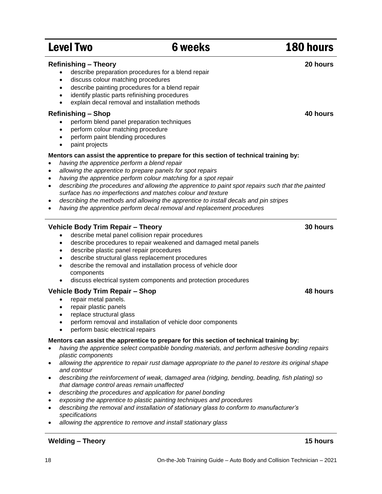## Level Two 6 weeks 180 hours

| <b>Refinishing - Theory</b><br>describe preparation procedures for a blend repair<br>discuss colour matching procedures<br>$\bullet$<br>describe painting procedures for a blend repair<br>$\bullet$<br>identify plastic parts refinishing procedures<br>$\bullet$<br>explain decal removal and installation methods<br>$\bullet$                                                                                                                                                                                                                                                                                                                                                            | 20 hours |
|----------------------------------------------------------------------------------------------------------------------------------------------------------------------------------------------------------------------------------------------------------------------------------------------------------------------------------------------------------------------------------------------------------------------------------------------------------------------------------------------------------------------------------------------------------------------------------------------------------------------------------------------------------------------------------------------|----------|
| <b>Refinishing - Shop</b><br>perform blend panel preparation techniques<br>perform colour matching procedure<br>$\bullet$<br>perform paint blending procedures<br>$\bullet$<br>paint projects<br>$\bullet$                                                                                                                                                                                                                                                                                                                                                                                                                                                                                   | 40 hours |
| Mentors can assist the apprentice to prepare for this section of technical training by:<br>having the apprentice perform a blend repair<br>$\bullet$<br>allowing the apprentice to prepare panels for spot repairs<br>$\bullet$<br>having the apprentice perform colour matching for a spot repair<br>$\bullet$<br>describing the procedures and allowing the apprentice to paint spot repairs such that the painted<br>$\bullet$<br>surface has no imperfections and matches colour and texture<br>describing the methods and allowing the apprentice to install decals and pin stripes<br>$\bullet$<br>having the apprentice perform decal removal and replacement procedures<br>$\bullet$ |          |
| Vehicle Body Trim Repair - Theory<br>describe metal panel collision repair procedures<br>describe procedures to repair weakened and damaged metal panels<br>٠<br>describe plastic panel repair procedures<br>$\bullet$<br>describe structural glass replacement procedures<br>٠<br>describe the removal and installation process of vehicle door<br>$\bullet$<br>components<br>discuss electrical system components and protection procedures<br>$\bullet$                                                                                                                                                                                                                                   | 30 hours |
| Vehicle Body Trim Repair - Shop<br>repair metal panels.<br>repair plastic panels<br>$\bullet$<br>replace structural glass<br>$\bullet$                                                                                                                                                                                                                                                                                                                                                                                                                                                                                                                                                       | 48 hours |

- perform removal and installation of vehicle door components
- perform basic electrical repairs

#### **Mentors can assist the apprentice to prepare for this section of technical training by:**

- *having the apprentice select compatible bonding materials, and perform adhesive bonding repairs plastic components*
- *allowing the apprentice to repair rust damage appropriate to the panel to restore its original shape and contour*
- *describing the reinforcement of weak, damaged area (ridging, bending, beading, fish plating) so that damage control areas remain unaffected*
- *describing the procedures and application for panel bonding*
- *exposing the apprentice to plastic painting techniques and procedures*
- *describing the removal and installation of stationary glass to conform to manufacturer's specifications*
- *allowing the apprentice to remove and install stationary glass*

#### **Welding – Theory 15 hours**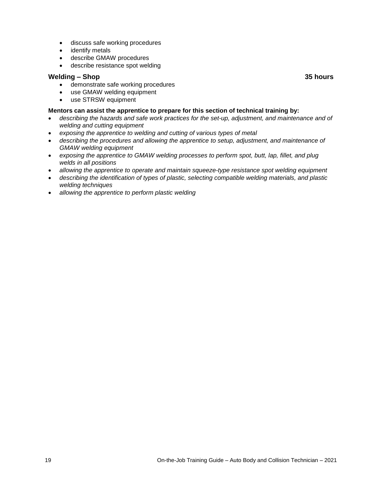- discuss safe working procedures
- identify metals
- describe GMAW procedures
- describe resistance spot welding

#### **Welding – Shop**

- demonstrate safe working procedures
- use GMAW welding equipment
- use STRSW equipment

#### **Mentors can assist the apprentice to prepare for this section of technical training by:**

- *describing the hazards and safe work practices for the set-up, adjustment, and maintenance and of welding and cutting equipment*
- *exposing the apprentice to welding and cutting of various types of metal*
- *describing the procedures and allowing the apprentice to setup, adjustment, and maintenance of GMAW welding equipment*
- *exposing the apprentice to GMAW welding processes to perform spot, butt, lap, fillet, and plug welds in all positions*
- *allowing the apprentice to operate and maintain squeeze-type resistance spot welding equipment*
- *describing the identification of types of plastic, selecting compatible welding materials, and plastic welding techniques*
- *allowing the apprentice to perform plastic welding*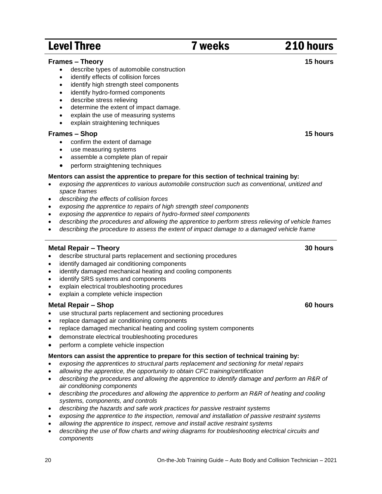#### 20 On-the-Job Training Guide – Auto Body and Collision Technician – 2021

## Level Three 210 hours 210 hours

#### **Frames – Theory**

- describe types of automobile construction
- identify effects of collision forces
- identify high strength steel components
- identify hydro-formed components
- describe stress relieving
- determine the extent of impact damage.
- explain the use of measuring systems
- explain straightening techniques

#### **Frames – Shop**

- confirm the extent of damage
- use measuring systems
- assemble a complete plan of repair
- perform straightening techniques

#### **Mentors can assist the apprentice to prepare for this section of technical training by:**

- *exposing the apprentices to various automobile construction such as conventional, unitized and space frames*
- *describing the effects of collision forces*
- *exposing the apprentice to repairs of high strength steel components*
- *exposing the apprentice to repairs of hydro-formed steel components*
- *describing the procedures and allowing the apprentice to perform stress relieving of vehicle frames*
- *describing the procedure to assess the extent of impact damage to a damaged vehicle frame*

#### **Metal Repair – Theory**

- describe structural parts replacement and sectioning procedures
- identify damaged air conditioning components
- identify damaged mechanical heating and cooling components
- identify SRS systems and components
- explain electrical troubleshooting procedures
- explain a complete vehicle inspection

#### **Metal Repair – Shop**

- use structural parts replacement and sectioning procedures
- replace damaged air conditioning components
- replace damaged mechanical heating and cooling system components
- demonstrate electrical troubleshooting procedures
- perform a complete vehicle inspection

#### **Mentors can assist the apprentice to prepare for this section of technical training by:**

- *exposing the apprentices to structural parts replacement and sectioning for metal repairs*
- *allowing the apprentice, the opportunity to obtain CFC training/certification*
- *describing the procedures and allowing the apprentice to identify damage and perform an R&R of air conditioning components*
- *describing the procedures and allowing the apprentice to perform an R&R of heating and cooling systems, components, and controls*
- *describing the hazards and safe work practices for passive restraint systems*
- *exposing the apprentice to the inspection, removal and installation of passive restraint systems*
- *allowing the apprentice to inspect, remove and install active restraint systems*
- *describing the use of flow charts and wiring diagrams for troubleshooting electrical circuits and components*

**15 hours**

**30 hours**

**60 hours**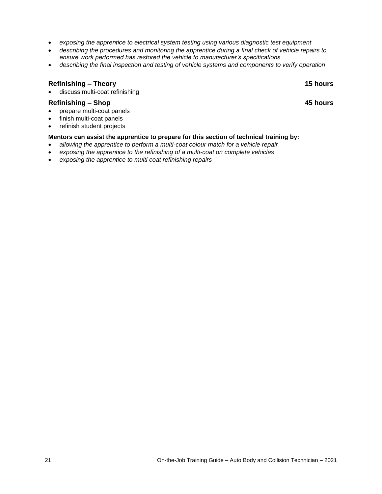- *exposing the apprentice to electrical system testing using various diagnostic test equipment*
- *describing the procedures and monitoring the apprentice during a final check of vehicle repairs to ensure work performed has restored the vehicle to manufacturer's specifications*
- *describing the final inspection and testing of vehicle systems and components to verify operation*

| <b>Refinishing - Theory</b><br>• discuss multi-coat refinishing                                | <b>15 hours</b> |
|------------------------------------------------------------------------------------------------|-----------------|
| <b>Refinishing - Shop</b>                                                                      | 45 hours        |
| prepare multi-coat panels<br>$\bullet$                                                         |                 |
| • finish multi-coat panels                                                                     |                 |
| • refinish student projects                                                                    |                 |
| Mentors can assist the apprentice to prepare for this section of technical training by:        |                 |
| allowing the apprentice to perform a multi-coat colour match for a vehicle repair<br>$\bullet$ |                 |
| exposing the apprentice to the refinishing of a multi-coat on complete vehicles<br>$\bullet$   |                 |

*exposing the apprentice to multi coat refinishing repairs*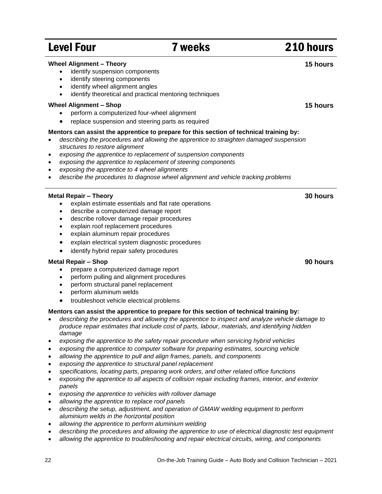#### 22 On-the-Job Training Guide – Auto Body and Collision Technician – 2021

## Level Four **7** weeks 210 hours

#### **Wheel Alignment – Theory**

- identify suspension components
- identify steering components
- identify wheel alignment angles
- identify theoretical and practical mentoring techniques

#### **Wheel Alignment – Shop**

- perform a computerized four-wheel alignment
- replace suspension and steering parts as required

#### **Mentors can assist the apprentice to prepare for this section of technical training by:**

- *describing the procedures and allowing the apprentice to straighten damaged suspension structures to restore alignment*
- *exposing the apprentice to replacement of suspension components*
- *exposing the apprentice to replacement of steering components*
- *exposing the apprentice to 4 wheel alignments*
- *describe the procedures to diagnose wheel alignment and vehicle tracking problems*

#### **Metal Repair – Theory**

- explain estimate essentials and flat rate operations
- describe a computerized damage report
- describe rollover damage repair procedures
- explain roof replacement procedures
- explain aluminum repair procedures
- explain electrical system diagnostic procedures
- identify hybrid repair safety procedures

#### **Metal Repair – Shop**

- prepare a computerized damage report
- perform pulling and alignment procedures
- perform structural panel replacement
- perform aluminum welds
- troubleshoot vehicle electrical problems

#### **Mentors can assist the apprentice to prepare for this section of technical training by:**

- *describing the procedures and allowing the apprentice to inspect and analyze vehicle damage to produce repair estimates that include cost of parts, labour, materials, and identifying hidden damage*
- *exposing the apprentice to the safety repair procedure when servicing hybrid vehicles*
- *exposing the apprentice to computer software for preparing estimates, sourcing vehicle*
- *allowing the apprentice to pull and align frames, panels, and components*
- *exposing the apprentice to structural panel replacement*
- *specifications, locating parts, preparing work orders, and other related office functions*
- *exposing the apprentice to all aspects of collision repair including frames, interior, and exterior panels*
- *exposing the apprentice to vehicles with rollover damage*
- *allowing the apprentice to replace roof panels*
- *describing the setup, adjustment, and operation of GMAW welding equipment to perform aluminium welds in the horizontal position*
- *allowing the apprentice to perform aluminium welding*
- *describing the procedures and allowing the apprentice to use of electrical diagnostic test equipment*
- *allowing the apprentice to troubleshooting and repair electrical circuits, wiring, and components*

**90 hours**

**30 hours**

**15 hours**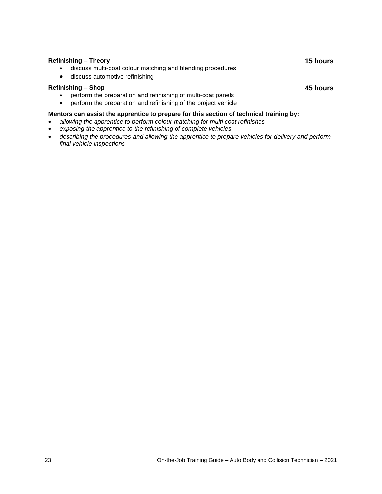#### **Refinishing – Theory**

- discuss multi-coat colour matching and blending procedures
- discuss automotive refinishing

#### **Refinishing – Shop**

**45 hours**

**15 hours**

- perform the preparation and refinishing of multi-coat panels
- perform the preparation and refinishing of the project vehicle

#### **Mentors can assist the apprentice to prepare for this section of technical training by:**

- *allowing the apprentice to perform colour matching for multi coat refinishes*
- *exposing the apprentice to the refinishing of complete vehicles*
- *describing the procedures and allowing the apprentice to prepare vehicles for delivery and perform final vehicle inspections*